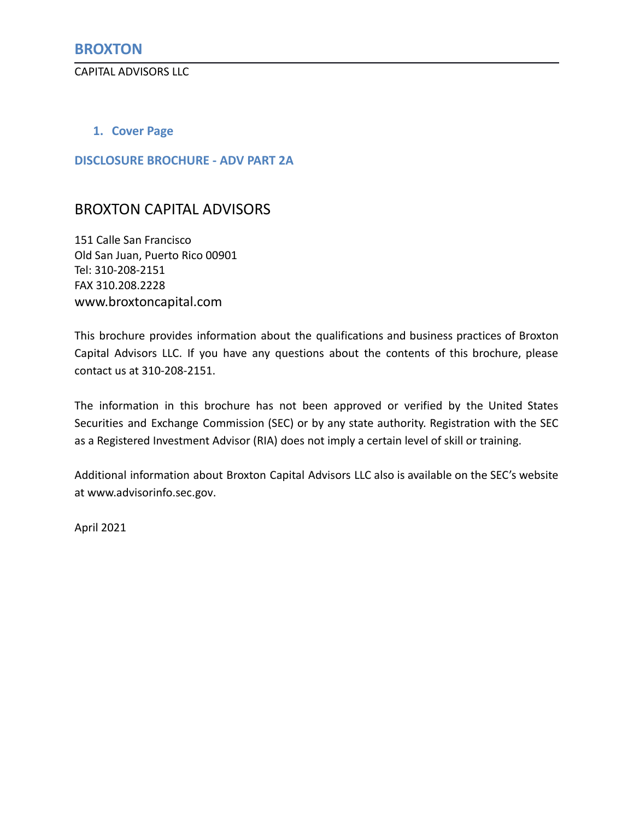<span id="page-0-0"></span>CAPITAL ADVISORS LLC

## <span id="page-0-1"></span>**1. Cover Page**

## <span id="page-0-2"></span>**DISCLOSURE BROCHURE - ADV PART 2A**

## BROXTON CAPITAL ADVISORS

151 Calle San Francisco Old San Juan, Puerto Rico 00901 Tel: 310-208-2151 FAX 310.208.2228 www.broxtoncapital.com

This brochure provides information about the qualifications and business practices of Broxton Capital Advisors LLC. If you have any questions about the contents of this brochure, please contact us at 310-208-2151.

The information in this brochure has not been approved or verified by the United States Securities and Exchange Commission (SEC) or by any state authority. Registration with the SEC as a Registered Investment Advisor (RIA) does not imply a certain level of skill or training.

Additional information about Broxton Capital Advisors LLC also is available on the SEC's website at [www.advisorinfo.sec.gov.](http://www.advisorinfo.sec.gov)

April 2021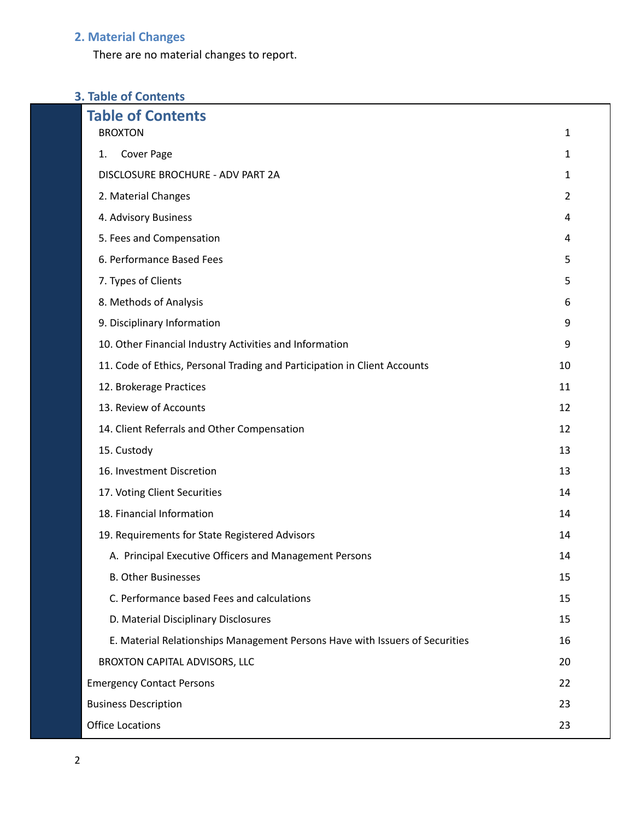# <span id="page-1-0"></span>**2. Material Changes**

There are no material changes to report.

# **3. Table of Contents**

| <b>Table of Contents</b>                                                     |                |  |  |
|------------------------------------------------------------------------------|----------------|--|--|
| <b>BROXTON</b>                                                               | 1              |  |  |
| Cover Page<br>1.                                                             | 1              |  |  |
| DISCLOSURE BROCHURE - ADV PART 2A                                            | 1              |  |  |
| 2. Material Changes                                                          | $\overline{2}$ |  |  |
| 4. Advisory Business                                                         | 4              |  |  |
| 5. Fees and Compensation                                                     | 4              |  |  |
| 6. Performance Based Fees                                                    | 5              |  |  |
| 7. Types of Clients                                                          | 5              |  |  |
| 8. Methods of Analysis                                                       | 6              |  |  |
| 9. Disciplinary Information                                                  | 9              |  |  |
| 10. Other Financial Industry Activities and Information                      | 9              |  |  |
| 11. Code of Ethics, Personal Trading and Participation in Client Accounts    | 10             |  |  |
| 12. Brokerage Practices                                                      | 11             |  |  |
| 13. Review of Accounts                                                       | 12             |  |  |
| 14. Client Referrals and Other Compensation                                  | 12             |  |  |
| 15. Custody                                                                  | 13             |  |  |
| 16. Investment Discretion                                                    | 13             |  |  |
| 17. Voting Client Securities                                                 | 14             |  |  |
| 18. Financial Information                                                    | 14             |  |  |
| 19. Requirements for State Registered Advisors                               | 14             |  |  |
| A. Principal Executive Officers and Management Persons                       | 14             |  |  |
| <b>B. Other Businesses</b>                                                   | 15             |  |  |
| C. Performance based Fees and calculations                                   | 15             |  |  |
| D. Material Disciplinary Disclosures                                         | 15             |  |  |
| E. Material Relationships Management Persons Have with Issuers of Securities | 16             |  |  |
| BROXTON CAPITAL ADVISORS, LLC                                                | 20             |  |  |
| <b>Emergency Contact Persons</b>                                             | 22             |  |  |
| <b>Business Description</b>                                                  |                |  |  |
| <b>Office Locations</b>                                                      |                |  |  |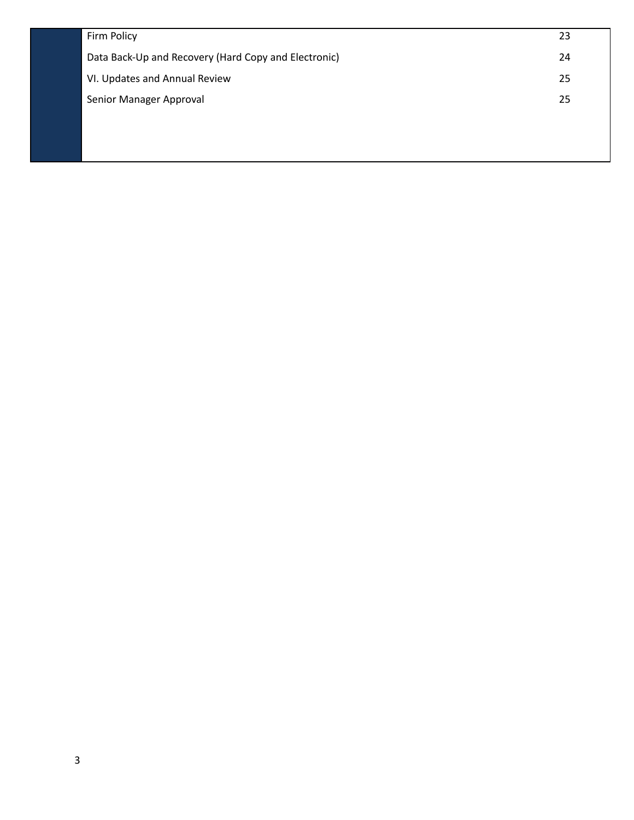| Firm Policy                                          | 23 |
|------------------------------------------------------|----|
| Data Back-Up and Recovery (Hard Copy and Electronic) | 24 |
| VI. Updates and Annual Review                        | 25 |
| Senior Manager Approval                              | 25 |
|                                                      |    |
|                                                      |    |
|                                                      |    |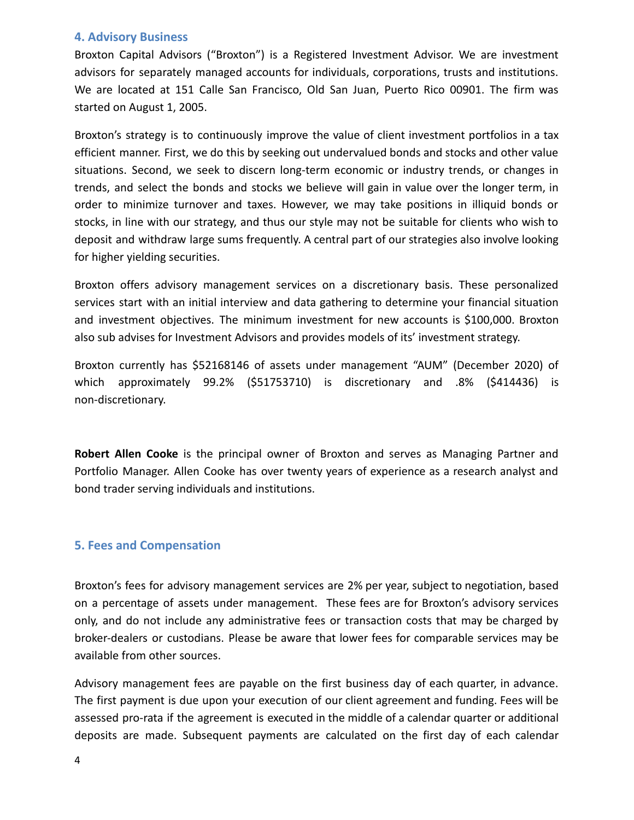## <span id="page-3-0"></span>**4. Advisory Business**

Broxton Capital Advisors ("Broxton") is a Registered Investment Advisor. We are investment advisors for separately managed accounts for individuals, corporations, trusts and institutions. We are located at 151 Calle San Francisco, Old San Juan, Puerto Rico 00901. The firm was started on August 1, 2005.

Broxton's strategy is to continuously improve the value of client investment portfolios in a tax efficient manner. First, we do this by seeking out undervalued bonds and stocks and other value situations. Second, we seek to discern long-term economic or industry trends, or changes in trends, and select the bonds and stocks we believe will gain in value over the longer term, in order to minimize turnover and taxes. However, we may take positions in illiquid bonds or stocks, in line with our strategy, and thus our style may not be suitable for clients who wish to deposit and withdraw large sums frequently. A central part of our strategies also involve looking for higher yielding securities.

Broxton offers advisory management services on a discretionary basis. These personalized services start with an initial interview and data gathering to determine your financial situation and investment objectives. The minimum investment for new accounts is \$100,000. Broxton also sub advises for Investment Advisors and provides models of its' investment strategy.

Broxton currently has \$52168146 of assets under management "AUM" (December 2020) of which approximately 99.2% (\$51753710) is discretionary and .8% (\$414436) is non-discretionary.

**Robert Allen Cooke** is the principal owner of Broxton and serves as Managing Partner and Portfolio Manager. Allen Cooke has over twenty years of experience as a research analyst and bond trader serving individuals and institutions.

## <span id="page-3-1"></span>**5. Fees and Compensation**

Broxton's fees for advisory management services are 2% per year, subject to negotiation, based on a percentage of assets under management. These fees are for Broxton's advisory services only, and do not include any administrative fees or transaction costs that may be charged by broker-dealers or custodians. Please be aware that lower fees for comparable services may be available from other sources.

Advisory management fees are payable on the first business day of each quarter, in advance. The first payment is due upon your execution of our client agreement and funding. Fees will be assessed pro-rata if the agreement is executed in the middle of a calendar quarter or additional deposits are made. Subsequent payments are calculated on the first day of each calendar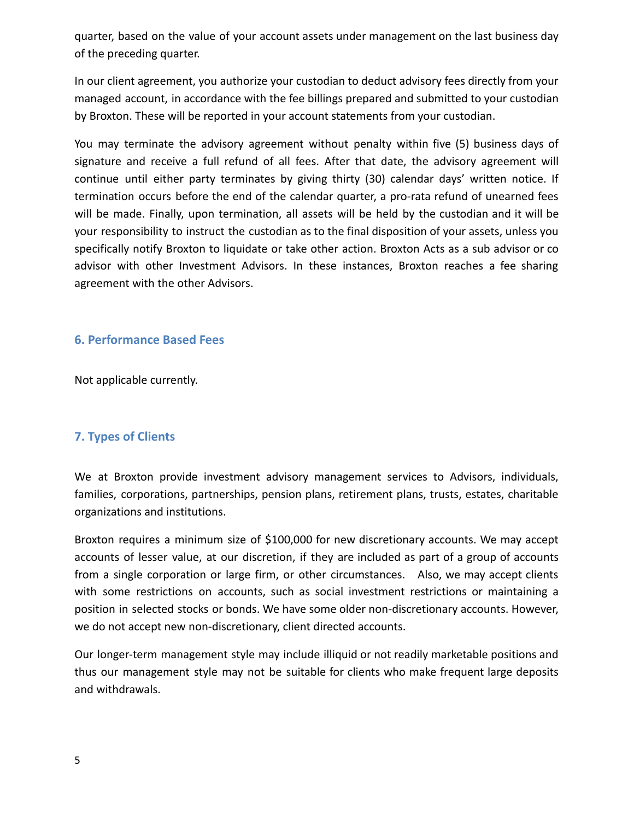quarter, based on the value of your account assets under management on the last business day of the preceding quarter.

In our client agreement, you authorize your custodian to deduct advisory fees directly from your managed account, in accordance with the fee billings prepared and submitted to your custodian by Broxton. These will be reported in your account statements from your custodian.

You may terminate the advisory agreement without penalty within five (5) business days of signature and receive a full refund of all fees. After that date, the advisory agreement will continue until either party terminates by giving thirty (30) calendar days' written notice. If termination occurs before the end of the calendar quarter, a pro-rata refund of unearned fees will be made. Finally, upon termination, all assets will be held by the custodian and it will be your responsibility to instruct the custodian as to the final disposition of your assets, unless you specifically notify Broxton to liquidate or take other action. Broxton Acts as a sub advisor or co advisor with other Investment Advisors. In these instances, Broxton reaches a fee sharing agreement with the other Advisors.

## <span id="page-4-0"></span>**6. Performance Based Fees**

Not applicable currently.

## <span id="page-4-1"></span>**7. Types of Clients**

We at Broxton provide investment advisory management services to Advisors, individuals, families, corporations, partnerships, pension plans, retirement plans, trusts, estates, charitable organizations and institutions.

Broxton requires a minimum size of \$100,000 for new discretionary accounts. We may accept accounts of lesser value, at our discretion, if they are included as part of a group of accounts from a single corporation or large firm, or other circumstances. Also, we may accept clients with some restrictions on accounts, such as social investment restrictions or maintaining a position in selected stocks or bonds. We have some older non-discretionary accounts. However, we do not accept new non-discretionary, client directed accounts.

Our longer-term management style may include illiquid or not readily marketable positions and thus our management style may not be suitable for clients who make frequent large deposits and withdrawals.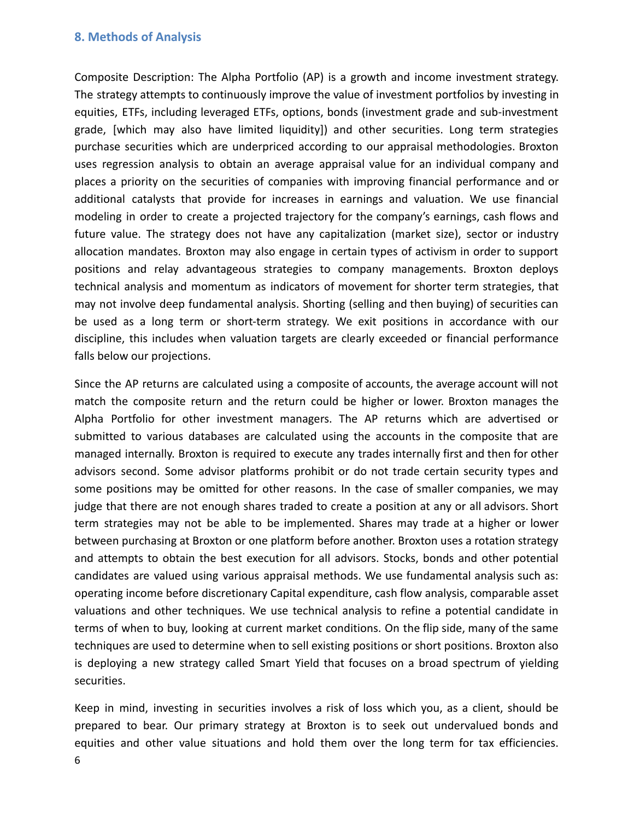### <span id="page-5-0"></span>**8. Methods of Analysis**

Composite Description: The Alpha Portfolio (AP) is a growth and income investment strategy. The strategy attempts to continuously improve the value of investment portfolios by investing in equities, ETFs, including leveraged ETFs, options, bonds (investment grade and sub-investment grade, [which may also have limited liquidity]) and other securities. Long term strategies purchase securities which are underpriced according to our appraisal methodologies. Broxton uses regression analysis to obtain an average appraisal value for an individual company and places a priority on the securities of companies with improving financial performance and or additional catalysts that provide for increases in earnings and valuation. We use financial modeling in order to create a projected trajectory for the company's earnings, cash flows and future value. The strategy does not have any capitalization (market size), sector or industry allocation mandates. Broxton may also engage in certain types of activism in order to support positions and relay advantageous strategies to company managements. Broxton deploys technical analysis and momentum as indicators of movement for shorter term strategies, that may not involve deep fundamental analysis. Shorting (selling and then buying) of securities can be used as a long term or short-term strategy. We exit positions in accordance with our discipline, this includes when valuation targets are clearly exceeded or financial performance falls below our projections.

Since the AP returns are calculated using a composite of accounts, the average account will not match the composite return and the return could be higher or lower. Broxton manages the Alpha Portfolio for other investment managers. The AP returns which are advertised or submitted to various databases are calculated using the accounts in the composite that are managed internally. Broxton is required to execute any trades internally first and then for other advisors second. Some advisor platforms prohibit or do not trade certain security types and some positions may be omitted for other reasons. In the case of smaller companies, we may judge that there are not enough shares traded to create a position at any or all advisors. Short term strategies may not be able to be implemented. Shares may trade at a higher or lower between purchasing at Broxton or one platform before another. Broxton uses a rotation strategy and attempts to obtain the best execution for all advisors. Stocks, bonds and other potential candidates are valued using various appraisal methods. We use fundamental analysis such as: operating income before discretionary Capital expenditure, cash flow analysis, comparable asset valuations and other techniques. We use technical analysis to refine a potential candidate in terms of when to buy, looking at current market conditions. On the flip side, many of the same techniques are used to determine when to sell existing positions or short positions. Broxton also is deploying a new strategy called Smart Yield that focuses on a broad spectrum of yielding securities.

Keep in mind, investing in securities involves a risk of loss which you, as a client, should be prepared to bear. Our primary strategy at Broxton is to seek out undervalued bonds and equities and other value situations and hold them over the long term for tax efficiencies.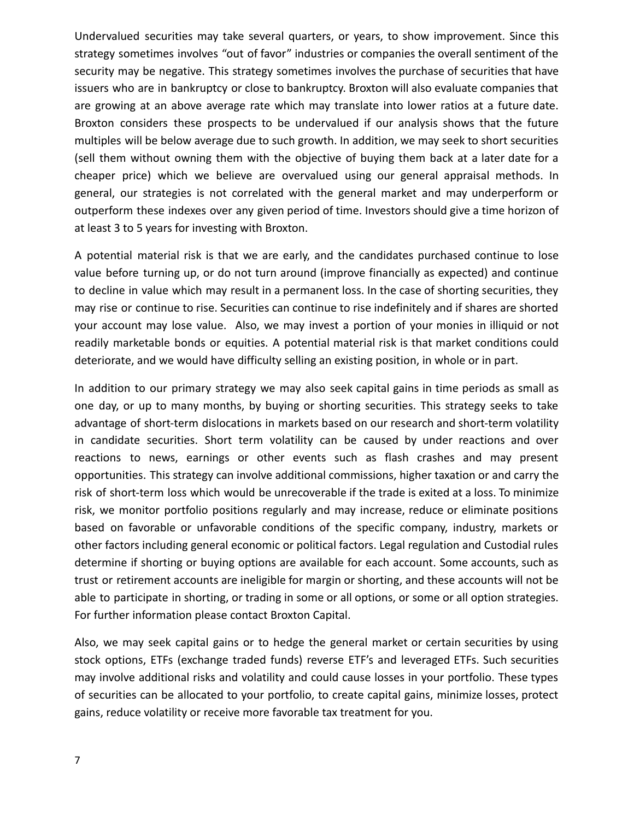Undervalued securities may take several quarters, or years, to show improvement. Since this strategy sometimes involves "out of favor" industries or companies the overall sentiment of the security may be negative. This strategy sometimes involves the purchase of securities that have issuers who are in bankruptcy or close to bankruptcy. Broxton will also evaluate companies that are growing at an above average rate which may translate into lower ratios at a future date. Broxton considers these prospects to be undervalued if our analysis shows that the future multiples will be below average due to such growth. In addition, we may seek to short securities (sell them without owning them with the objective of buying them back at a later date for a cheaper price) which we believe are overvalued using our general appraisal methods. In general, our strategies is not correlated with the general market and may underperform or outperform these indexes over any given period of time. Investors should give a time horizon of at least 3 to 5 years for investing with Broxton.

A potential material risk is that we are early, and the candidates purchased continue to lose value before turning up, or do not turn around (improve financially as expected) and continue to decline in value which may result in a permanent loss. In the case of shorting securities, they may rise or continue to rise. Securities can continue to rise indefinitely and if shares are shorted your account may lose value. Also, we may invest a portion of your monies in illiquid or not readily marketable bonds or equities. A potential material risk is that market conditions could deteriorate, and we would have difficulty selling an existing position, in whole or in part.

In addition to our primary strategy we may also seek capital gains in time periods as small as one day, or up to many months, by buying or shorting securities. This strategy seeks to take advantage of short-term dislocations in markets based on our research and short-term volatility in candidate securities. Short term volatility can be caused by under reactions and over reactions to news, earnings or other events such as flash crashes and may present opportunities. This strategy can involve additional commissions, higher taxation or and carry the risk of short-term loss which would be unrecoverable if the trade is exited at a loss. To minimize risk, we monitor portfolio positions regularly and may increase, reduce or eliminate positions based on favorable or unfavorable conditions of the specific company, industry, markets or other factors including general economic or political factors. Legal regulation and Custodial rules determine if shorting or buying options are available for each account. Some accounts, such as trust or retirement accounts are ineligible for margin or shorting, and these accounts will not be able to participate in shorting, or trading in some or all options, or some or all option strategies. For further information please contact Broxton Capital.

Also, we may seek capital gains or to hedge the general market or certain securities by using stock options, ETFs (exchange traded funds) reverse ETF's and leveraged ETFs. Such securities may involve additional risks and volatility and could cause losses in your portfolio. These types of securities can be allocated to your portfolio, to create capital gains, minimize losses, protect gains, reduce volatility or receive more favorable tax treatment for you.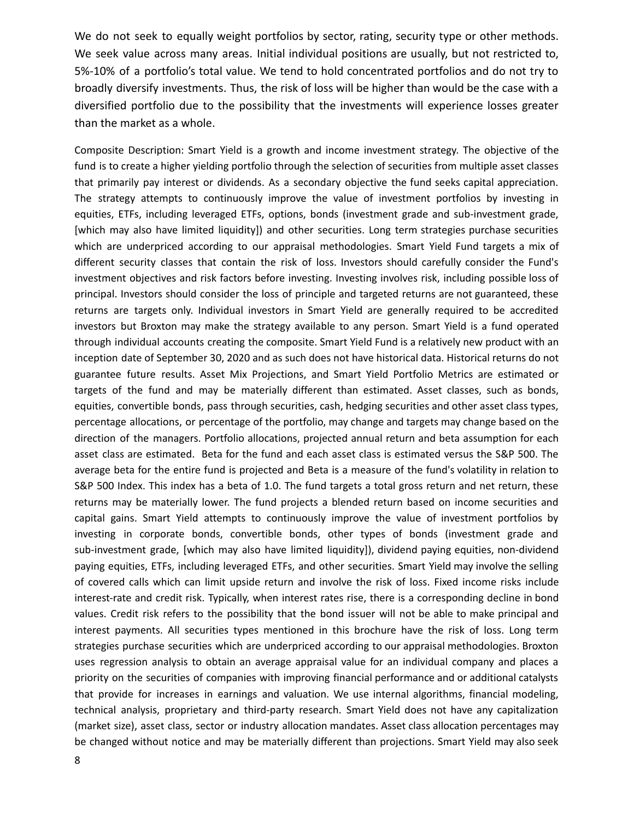We do not seek to equally weight portfolios by sector, rating, security type or other methods. We seek value across many areas. Initial individual positions are usually, but not restricted to, 5%-10% of a portfolio's total value. We tend to hold concentrated portfolios and do not try to broadly diversify investments. Thus, the risk of loss will be higher than would be the case with a diversified portfolio due to the possibility that the investments will experience losses greater than the market as a whole.

Composite Description: Smart Yield is a growth and income investment strategy. The objective of the fund is to create a higher yielding portfolio through the selection of securities from multiple asset classes that primarily pay interest or dividends. As a secondary objective the fund seeks capital appreciation. The strategy attempts to continuously improve the value of investment portfolios by investing in equities, ETFs, including leveraged ETFs, options, bonds (investment grade and sub-investment grade, [which may also have limited liquidity]) and other securities. Long term strategies purchase securities which are underpriced according to our appraisal methodologies. Smart Yield Fund targets a mix of different security classes that contain the risk of loss. Investors should carefully consider the Fund's investment objectives and risk factors before investing. Investing involves risk, including possible loss of principal. Investors should consider the loss of principle and targeted returns are not guaranteed, these returns are targets only. Individual investors in Smart Yield are generally required to be accredited investors but Broxton may make the strategy available to any person. Smart Yield is a fund operated through individual accounts creating the composite. Smart Yield Fund is a relatively new product with an inception date of September 30, 2020 and as such does not have historical data. Historical returns do not guarantee future results. Asset Mix Projections, and Smart Yield Portfolio Metrics are estimated or targets of the fund and may be materially different than estimated. Asset classes, such as bonds, equities, convertible bonds, pass through securities, cash, hedging securities and other asset class types, percentage allocations, or percentage of the portfolio, may change and targets may change based on the direction of the managers. Portfolio allocations, projected annual return and beta assumption for each asset class are estimated. Beta for the fund and each asset class is estimated versus the S&P 500. The average beta for the entire fund is projected and Beta is a measure of the fund's volatility in relation to S&P 500 Index. This index has a beta of 1.0. The fund targets a total gross return and net return, these returns may be materially lower. The fund projects a blended return based on income securities and capital gains. Smart Yield attempts to continuously improve the value of investment portfolios by investing in corporate bonds, convertible bonds, other types of bonds (investment grade and sub-investment grade, [which may also have limited liquidity]), dividend paying equities, non-dividend paying equities, ETFs, including leveraged ETFs, and other securities. Smart Yield may involve the selling of covered calls which can limit upside return and involve the risk of loss. Fixed income risks include interest-rate and credit risk. Typically, when interest rates rise, there is a corresponding decline in bond values. Credit risk refers to the possibility that the bond issuer will not be able to make principal and interest payments. All securities types mentioned in this brochure have the risk of loss. Long term strategies purchase securities which are underpriced according to our appraisal methodologies. Broxton uses regression analysis to obtain an average appraisal value for an individual company and places a priority on the securities of companies with improving financial performance and or additional catalysts that provide for increases in earnings and valuation. We use internal algorithms, financial modeling, technical analysis, proprietary and third-party research. Smart Yield does not have any capitalization (market size), asset class, sector or industry allocation mandates. Asset class allocation percentages may be changed without notice and may be materially different than projections. Smart Yield may also seek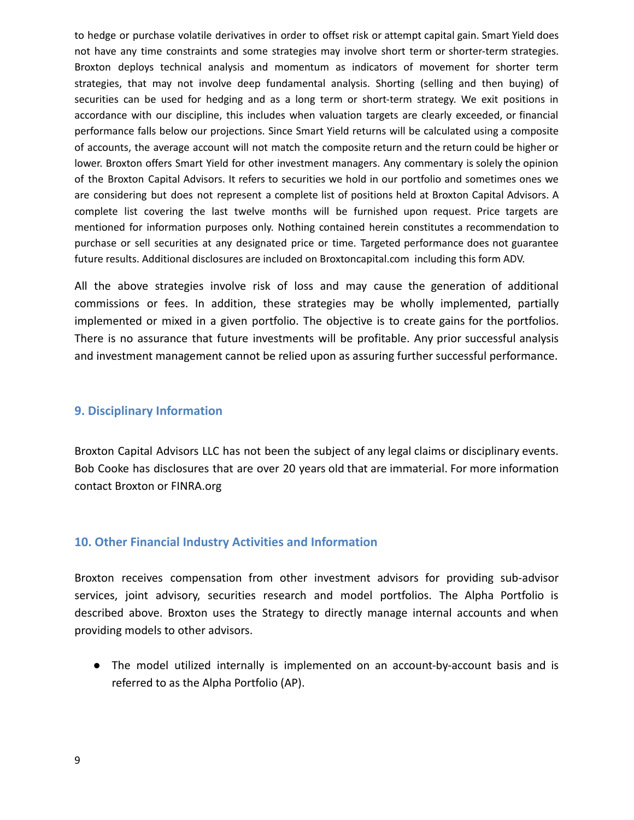to hedge or purchase volatile derivatives in order to offset risk or attempt capital gain. Smart Yield does not have any time constraints and some strategies may involve short term or shorter-term strategies. Broxton deploys technical analysis and momentum as indicators of movement for shorter term strategies, that may not involve deep fundamental analysis. Shorting (selling and then buying) of securities can be used for hedging and as a long term or short-term strategy. We exit positions in accordance with our discipline, this includes when valuation targets are clearly exceeded, or financial performance falls below our projections. Since Smart Yield returns will be calculated using a composite of accounts, the average account will not match the composite return and the return could be higher or lower. Broxton offers Smart Yield for other investment managers. Any commentary is solely the opinion of the Broxton Capital Advisors. It refers to securities we hold in our portfolio and sometimes ones we are considering but does not represent a complete list of positions held at Broxton Capital Advisors. A complete list covering the last twelve months will be furnished upon request. Price targets are mentioned for information purposes only. Nothing contained herein constitutes a recommendation to purchase or sell securities at any designated price or time. Targeted performance does not guarantee future results. Additional disclosures are included on Broxtoncapital.com including this form ADV.

All the above strategies involve risk of loss and may cause the generation of additional commissions or fees. In addition, these strategies may be wholly implemented, partially implemented or mixed in a given portfolio. The objective is to create gains for the portfolios. There is no assurance that future investments will be profitable. Any prior successful analysis and investment management cannot be relied upon as assuring further successful performance.

### <span id="page-8-0"></span>**9. Disciplinary Information**

Broxton Capital Advisors LLC has not been the subject of any legal claims or disciplinary events. Bob Cooke has disclosures that are over 20 years old that are immaterial. For more information contact Broxton or FINRA.org

### <span id="page-8-1"></span>**10. Other Financial Industry Activities and Information**

Broxton receives compensation from other investment advisors for providing sub-advisor services, joint advisory, securities research and model portfolios. The Alpha Portfolio is described above. Broxton uses the Strategy to directly manage internal accounts and when providing models to other advisors.

● The model utilized internally is implemented on an account-by-account basis and is referred to as the Alpha Portfolio (AP).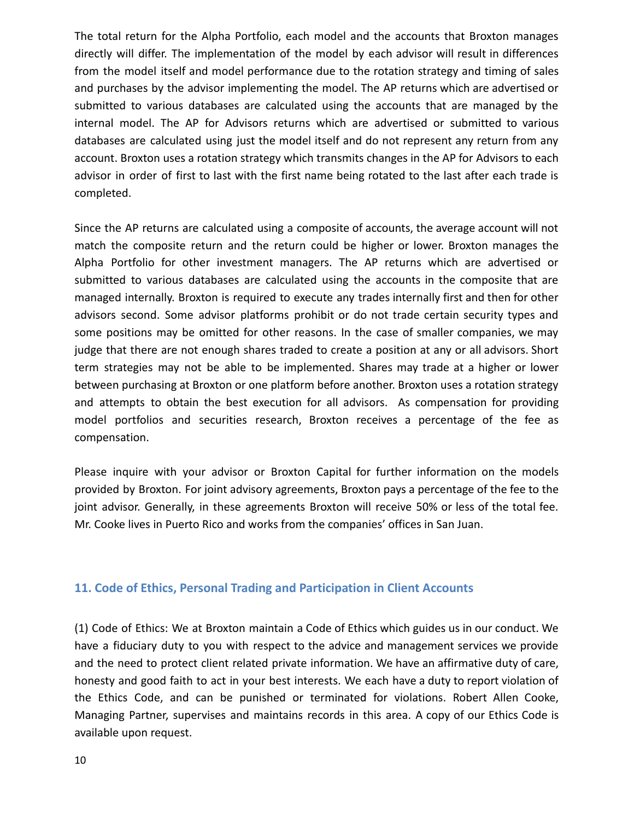The total return for the Alpha Portfolio, each model and the accounts that Broxton manages directly will differ. The implementation of the model by each advisor will result in differences from the model itself and model performance due to the rotation strategy and timing of sales and purchases by the advisor implementing the model. The AP returns which are advertised or submitted to various databases are calculated using the accounts that are managed by the internal model. The AP for Advisors returns which are advertised or submitted to various databases are calculated using just the model itself and do not represent any return from any account. Broxton uses a rotation strategy which transmits changes in the AP for Advisors to each advisor in order of first to last with the first name being rotated to the last after each trade is completed.

Since the AP returns are calculated using a composite of accounts, the average account will not match the composite return and the return could be higher or lower. Broxton manages the Alpha Portfolio for other investment managers. The AP returns which are advertised or submitted to various databases are calculated using the accounts in the composite that are managed internally. Broxton is required to execute any trades internally first and then for other advisors second. Some advisor platforms prohibit or do not trade certain security types and some positions may be omitted for other reasons. In the case of smaller companies, we may judge that there are not enough shares traded to create a position at any or all advisors. Short term strategies may not be able to be implemented. Shares may trade at a higher or lower between purchasing at Broxton or one platform before another. Broxton uses a rotation strategy and attempts to obtain the best execution for all advisors. As compensation for providing model portfolios and securities research, Broxton receives a percentage of the fee as compensation.

Please inquire with your advisor or Broxton Capital for further information on the models provided by Broxton. For joint advisory agreements, Broxton pays a percentage of the fee to the joint advisor. Generally, in these agreements Broxton will receive 50% or less of the total fee. Mr. Cooke lives in Puerto Rico and works from the companies' offices in San Juan.

## <span id="page-9-0"></span>**11. Code of Ethics, Personal Trading and Participation in Client Accounts**

(1) Code of Ethics: We at Broxton maintain a Code of Ethics which guides us in our conduct. We have a fiduciary duty to you with respect to the advice and management services we provide and the need to protect client related private information. We have an affirmative duty of care, honesty and good faith to act in your best interests. We each have a duty to report violation of the Ethics Code, and can be punished or terminated for violations. Robert Allen Cooke, Managing Partner, supervises and maintains records in this area. A copy of our Ethics Code is available upon request.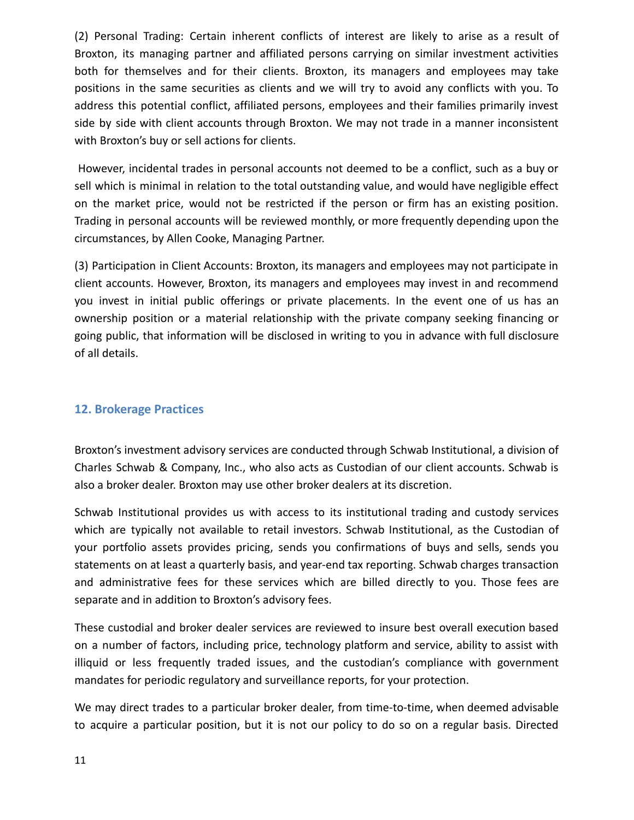(2) Personal Trading: Certain inherent conflicts of interest are likely to arise as a result of Broxton, its managing partner and affiliated persons carrying on similar investment activities both for themselves and for their clients. Broxton, its managers and employees may take positions in the same securities as clients and we will try to avoid any conflicts with you. To address this potential conflict, affiliated persons, employees and their families primarily invest side by side with client accounts through Broxton. We may not trade in a manner inconsistent with Broxton's buy or sell actions for clients.

However, incidental trades in personal accounts not deemed to be a conflict, such as a buy or sell which is minimal in relation to the total outstanding value, and would have negligible effect on the market price, would not be restricted if the person or firm has an existing position. Trading in personal accounts will be reviewed monthly, or more frequently depending upon the circumstances, by Allen Cooke, Managing Partner.

(3) Participation in Client Accounts: Broxton, its managers and employees may not participate in client accounts. However, Broxton, its managers and employees may invest in and recommend you invest in initial public offerings or private placements. In the event one of us has an ownership position or a material relationship with the private company seeking financing or going public, that information will be disclosed in writing to you in advance with full disclosure of all details.

## <span id="page-10-0"></span>**12. Brokerage Practices**

Broxton's investment advisory services are conducted through Schwab Institutional, a division of Charles Schwab & Company, Inc., who also acts as Custodian of our client accounts. Schwab is also a broker dealer. Broxton may use other broker dealers at its discretion.

Schwab Institutional provides us with access to its institutional trading and custody services which are typically not available to retail investors. Schwab Institutional, as the Custodian of your portfolio assets provides pricing, sends you confirmations of buys and sells, sends you statements on at least a quarterly basis, and year-end tax reporting. Schwab charges transaction and administrative fees for these services which are billed directly to you. Those fees are separate and in addition to Broxton's advisory fees.

These custodial and broker dealer services are reviewed to insure best overall execution based on a number of factors, including price, technology platform and service, ability to assist with illiquid or less frequently traded issues, and the custodian's compliance with government mandates for periodic regulatory and surveillance reports, for your protection.

We may direct trades to a particular broker dealer, from time-to-time, when deemed advisable to acquire a particular position, but it is not our policy to do so on a regular basis. Directed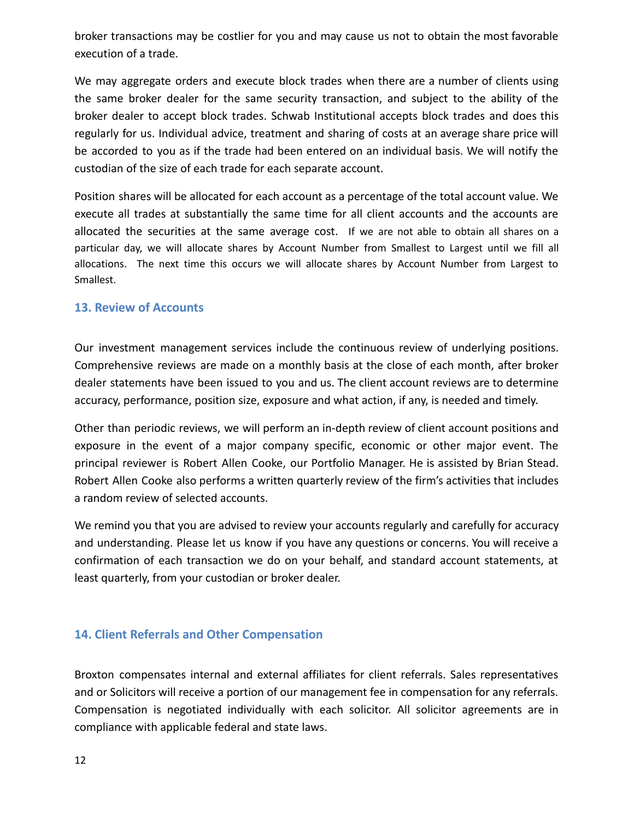broker transactions may be costlier for you and may cause us not to obtain the most favorable execution of a trade.

We may aggregate orders and execute block trades when there are a number of clients using the same broker dealer for the same security transaction, and subject to the ability of the broker dealer to accept block trades. Schwab Institutional accepts block trades and does this regularly for us. Individual advice, treatment and sharing of costs at an average share price will be accorded to you as if the trade had been entered on an individual basis. We will notify the custodian of the size of each trade for each separate account.

Position shares will be allocated for each account as a percentage of the total account value. We execute all trades at substantially the same time for all client accounts and the accounts are allocated the securities at the same average cost. If we are not able to obtain all shares on a particular day, we will allocate shares by Account Number from Smallest to Largest until we fill all allocations. The next time this occurs we will allocate shares by Account Number from Largest to Smallest.

## <span id="page-11-0"></span>**13. Review of Accounts**

Our investment management services include the continuous review of underlying positions. Comprehensive reviews are made on a monthly basis at the close of each month, after broker dealer statements have been issued to you and us. The client account reviews are to determine accuracy, performance, position size, exposure and what action, if any, is needed and timely.

Other than periodic reviews, we will perform an in-depth review of client account positions and exposure in the event of a major company specific, economic or other major event. The principal reviewer is Robert Allen Cooke, our Portfolio Manager. He is assisted by Brian Stead. Robert Allen Cooke also performs a written quarterly review of the firm's activities that includes a random review of selected accounts.

We remind you that you are advised to review your accounts regularly and carefully for accuracy and understanding. Please let us know if you have any questions or concerns. You will receive a confirmation of each transaction we do on your behalf, and standard account statements, at least quarterly, from your custodian or broker dealer.

## <span id="page-11-1"></span>**14. Client Referrals and Other Compensation**

Broxton compensates internal and external affiliates for client referrals. Sales representatives and or Solicitors will receive a portion of our management fee in compensation for any referrals. Compensation is negotiated individually with each solicitor. All solicitor agreements are in compliance with applicable federal and state laws.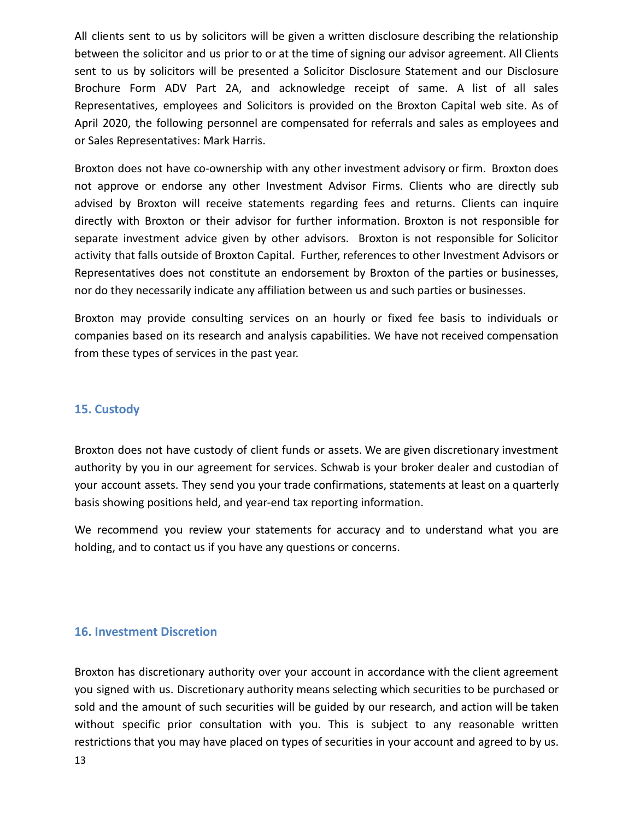All clients sent to us by solicitors will be given a written disclosure describing the relationship between the solicitor and us prior to or at the time of signing our advisor agreement. All Clients sent to us by solicitors will be presented a Solicitor Disclosure Statement and our Disclosure Brochure Form ADV Part 2A, and acknowledge receipt of same. A list of all sales Representatives, employees and Solicitors is provided on the Broxton Capital web site. As of April 2020, the following personnel are compensated for referrals and sales as employees and or Sales Representatives: Mark Harris.

Broxton does not have co-ownership with any other investment advisory or firm. Broxton does not approve or endorse any other Investment Advisor Firms. Clients who are directly sub advised by Broxton will receive statements regarding fees and returns. Clients can inquire directly with Broxton or their advisor for further information. Broxton is not responsible for separate investment advice given by other advisors. Broxton is not responsible for Solicitor activity that falls outside of Broxton Capital. Further, references to other Investment Advisors or Representatives does not constitute an endorsement by Broxton of the parties or businesses, nor do they necessarily indicate any affiliation between us and such parties or businesses.

Broxton may provide consulting services on an hourly or fixed fee basis to individuals or companies based on its research and analysis capabilities. We have not received compensation from these types of services in the past year.

## <span id="page-12-0"></span>**15. Custody**

Broxton does not have custody of client funds or assets. We are given discretionary investment authority by you in our agreement for services. Schwab is your broker dealer and custodian of your account assets. They send you your trade confirmations, statements at least on a quarterly basis showing positions held, and year-end tax reporting information.

We recommend you review your statements for accuracy and to understand what you are holding, and to contact us if you have any questions or concerns.

### <span id="page-12-1"></span>**16. Investment Discretion**

Broxton has discretionary authority over your account in accordance with the client agreement you signed with us. Discretionary authority means selecting which securities to be purchased or sold and the amount of such securities will be guided by our research, and action will be taken without specific prior consultation with you. This is subject to any reasonable written restrictions that you may have placed on types of securities in your account and agreed to by us.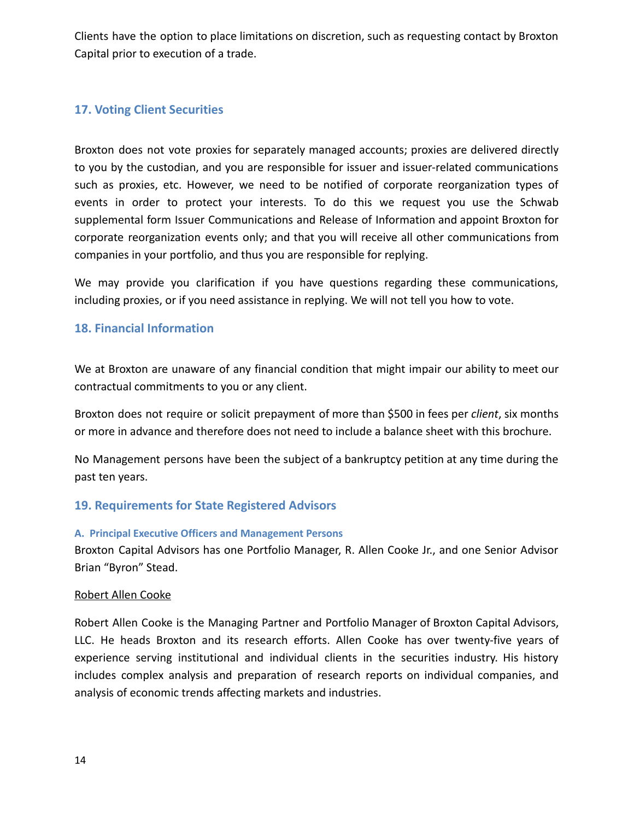Clients have the option to place limitations on discretion, such as requesting contact by Broxton Capital prior to execution of a trade.

## <span id="page-13-0"></span>**17. Voting Client Securities**

Broxton does not vote proxies for separately managed accounts; proxies are delivered directly to you by the custodian, and you are responsible for issuer and issuer-related communications such as proxies, etc. However, we need to be notified of corporate reorganization types of events in order to protect your interests. To do this we request you use the Schwab supplemental form Issuer Communications and Release of Information and appoint Broxton for corporate reorganization events only; and that you will receive all other communications from companies in your portfolio, and thus you are responsible for replying.

We may provide you clarification if you have questions regarding these communications, including proxies, or if you need assistance in replying. We will not tell you how to vote.

## <span id="page-13-1"></span>**18. Financial Information**

We at Broxton are unaware of any financial condition that might impair our ability to meet our contractual commitments to you or any client.

Broxton does not require or solicit prepayment of more than \$500 in fees per *client*, six months or more in advance and therefore does not need to include a balance sheet with this brochure.

No Management persons have been the subject of a bankruptcy petition at any time during the past ten years.

## <span id="page-13-2"></span>**19. Requirements for State Registered Advisors**

### <span id="page-13-3"></span>**A. Principal Executive Officers and Management Persons**

Broxton Capital Advisors has one Portfolio Manager, R. Allen Cooke Jr., and one Senior Advisor Brian "Byron" Stead.

### Robert Allen Cooke

Robert Allen Cooke is the Managing Partner and Portfolio Manager of Broxton Capital Advisors, LLC. He heads Broxton and its research efforts. Allen Cooke has over twenty-five years of experience serving institutional and individual clients in the securities industry. His history includes complex analysis and preparation of research reports on individual companies, and analysis of economic trends affecting markets and industries.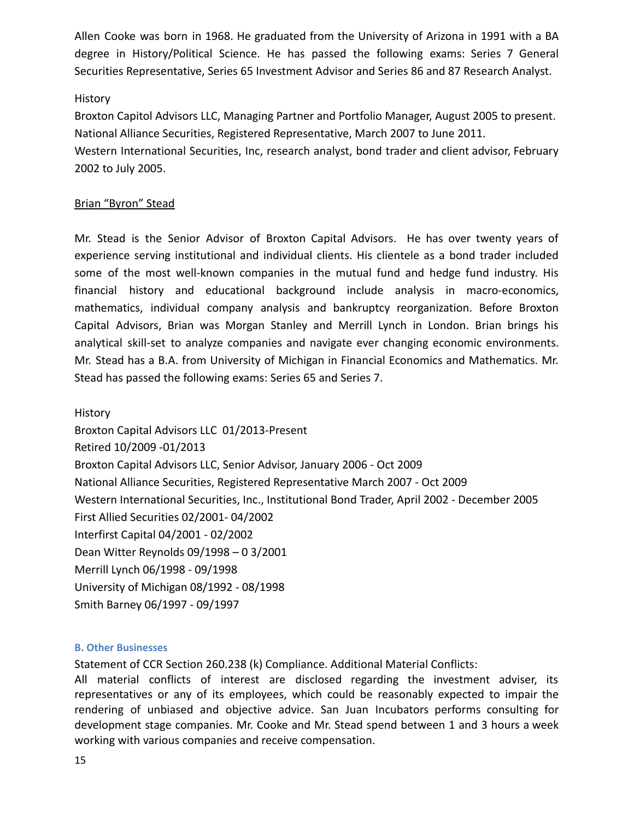Allen Cooke was born in 1968. He graduated from the University of Arizona in 1991 with a BA degree in History/Political Science. He has passed the following exams: Series 7 General Securities Representative, Series 65 Investment Advisor and Series 86 and 87 Research Analyst.

## History

Broxton Capitol Advisors LLC, Managing Partner and Portfolio Manager, August 2005 to present. National Alliance Securities, Registered Representative, March 2007 to June 2011.

Western International Securities, Inc, research analyst, bond trader and client advisor, February 2002 to July 2005.

## Brian "Byron" Stead

Mr. Stead is the Senior Advisor of Broxton Capital Advisors. He has over twenty years of experience serving institutional and individual clients. His clientele as a bond trader included some of the most well-known companies in the mutual fund and hedge fund industry. His financial history and educational background include analysis in macro-economics, mathematics, individual company analysis and bankruptcy reorganization. Before Broxton Capital Advisors, Brian was Morgan Stanley and Merrill Lynch in London. Brian brings his analytical skill-set to analyze companies and navigate ever changing economic environments. Mr. Stead has a B.A. from University of Michigan in Financial Economics and Mathematics. Mr. Stead has passed the following exams: Series 65 and Series 7.

History Broxton Capital Advisors LLC 01/2013-Present Retired 10/2009 -01/2013 Broxton Capital Advisors LLC, Senior Advisor, January 2006 - Oct 2009 National Alliance Securities, Registered Representative March 2007 - Oct 2009 Western International Securities, Inc., Institutional Bond Trader, April 2002 - December 2005 First Allied Securities 02/2001- 04/2002 Interfirst Capital 04/2001 - 02/2002 Dean Witter Reynolds 09/1998 – 0 3/2001 Merrill Lynch 06/1998 - 09/1998 University of Michigan 08/1992 - 08/1998 Smith Barney 06/1997 - 09/1997

## <span id="page-14-0"></span>**B. Other Businesses**

Statement of CCR Section 260.238 (k) Compliance. Additional Material Conflicts:

All material conflicts of interest are disclosed regarding the investment adviser, its representatives or any of its employees, which could be reasonably expected to impair the rendering of unbiased and objective advice. San Juan Incubators performs consulting for development stage companies. Mr. Cooke and Mr. Stead spend between 1 and 3 hours a week working with various companies and receive compensation.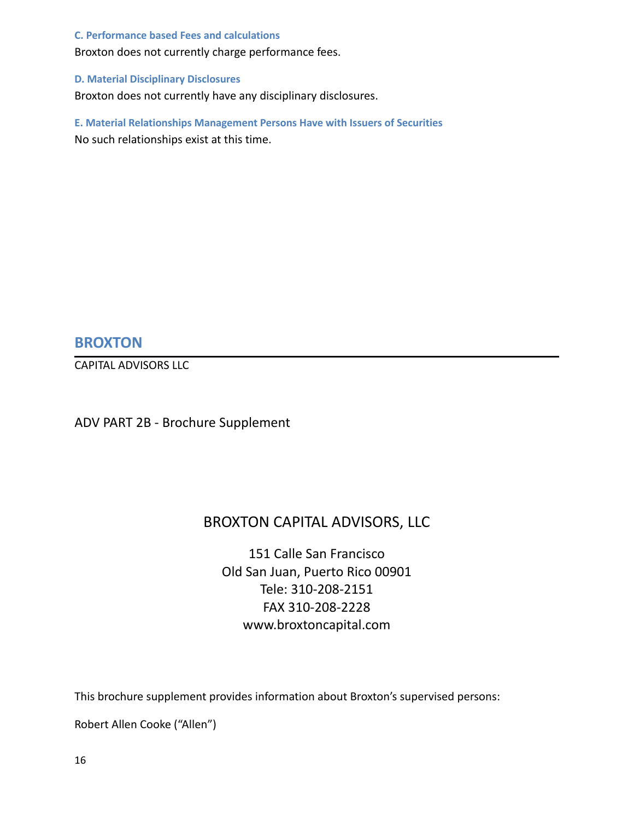### <span id="page-15-0"></span>**C. Performance based Fees and calculations**

Broxton does not currently charge performance fees.

### <span id="page-15-1"></span>**D. Material Disciplinary Disclosures**

Broxton does not currently have any disciplinary disclosures.

<span id="page-15-2"></span>**E. Material Relationships Management Persons Have with Issuers of Securities** No such relationships exist at this time.

## **BROXTON**

CAPITAL ADVISORS LLC

ADV PART 2B - Brochure Supplement

## BROXTON CAPITAL ADVISORS, LLC

151 Calle San Francisco Old San Juan, Puerto Rico 00901 Tele: 310-208-2151 FAX 310-208-2228 www.broxtoncapital.com

This brochure supplement provides information about Broxton's supervised persons:

Robert Allen Cooke ("Allen")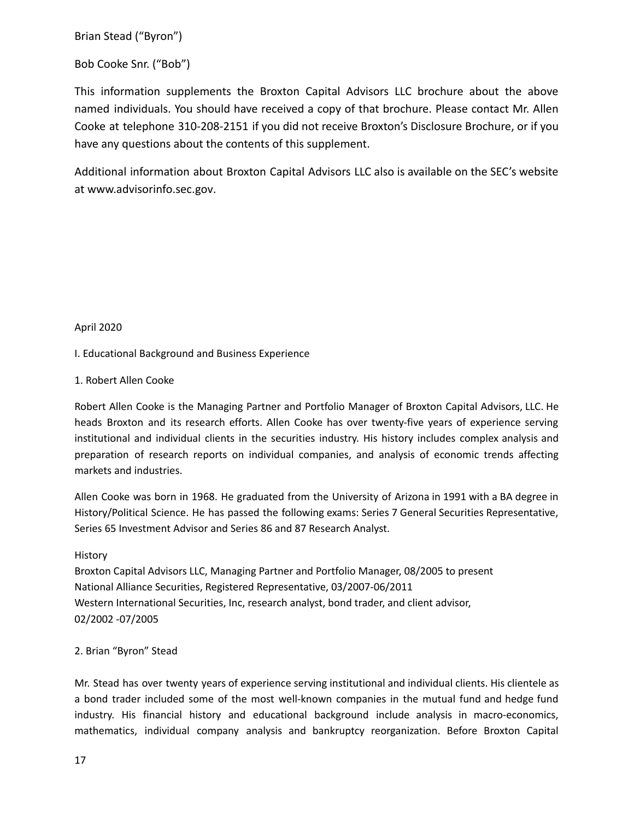Brian Stead ("Byron")

### Bob Cooke Snr. ("Bob")

This information supplements the Broxton Capital Advisors LLC brochure about the above named individuals. You should have received a copy of that brochure. Please contact Mr. Allen Cooke at telephone 310-208-2151 if you did not receive Broxton's Disclosure Brochure, or if you have any questions about the contents of this supplement.

Additional information about Broxton Capital Advisors LLC also is available on the SEC's website at [www.advisorinfo.sec.gov.](http://www.advisorinfo.sec.gov/)

April 2020

I. Educational Background and Business Experience

### 1. Robert Allen Cooke

Robert Allen Cooke is the Managing Partner and Portfolio Manager of Broxton Capital Advisors, LLC. He heads Broxton and its research efforts. Allen Cooke has over twenty-five years of experience serving institutional and individual clients in the securities industry. His history includes complex analysis and preparation of research reports on individual companies, and analysis of economic trends affecting markets and industries.

Allen Cooke was born in 1968. He graduated from the University of Arizona in 1991 with a BA degree in History/Political Science. He has passed the following exams: Series 7 General Securities Representative, Series 65 Investment Advisor and Series 86 and 87 Research Analyst.

### History

Broxton Capital Advisors LLC, Managing Partner and Portfolio Manager, 08/2005 to present National Alliance Securities, Registered Representative, 03/2007-06/2011 Western International Securities, Inc, research analyst, bond trader, and client advisor, 02/2002 -07/2005

### 2. Brian "Byron" Stead

Mr. Stead has over twenty years of experience serving institutional and individual clients. His clientele as a bond trader included some of the most well-known companies in the mutual fund and hedge fund industry. His financial history and educational background include analysis in macro-economics, mathematics, individual company analysis and bankruptcy reorganization. Before Broxton Capital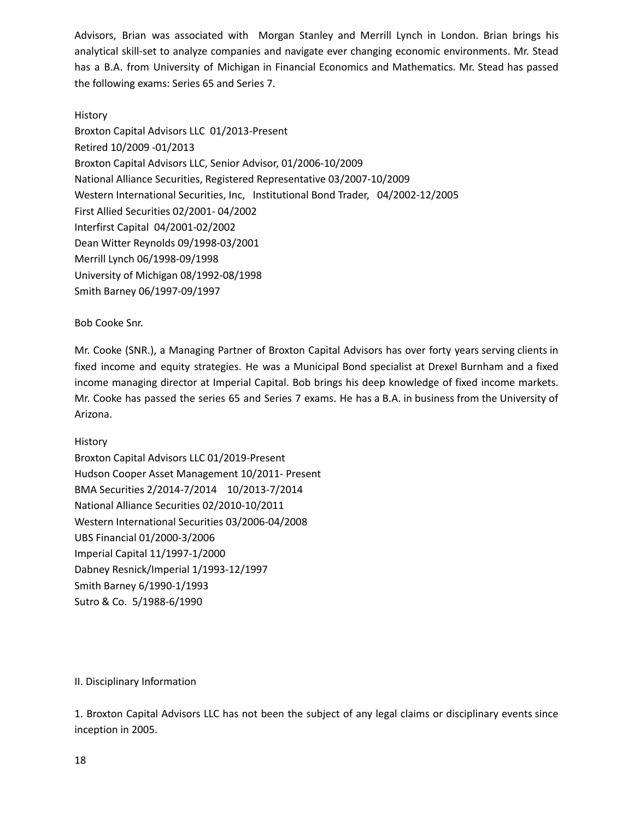Advisors, Brian was associated with Morgan Stanley and Merrill Lynch in London. Brian brings his analytical skill-set to analyze companies and navigate ever changing economic environments. Mr. Stead has a B.A. from University of Michigan in Financial Economics and Mathematics. Mr. Stead has passed the following exams: Series 65 and Series 7.

### History

Broxton Capital Advisors LLC 01/2013-Present Retired 10/2009 -01/2013 Broxton Capital Advisors LLC, Senior Advisor, 01/2006-10/2009 National Alliance Securities, Registered Representative 03/2007-10/2009 Western International Securities, Inc, Institutional Bond Trader, 04/2002-12/2005 First Allied Securities 02/2001- 04/2002 Interfirst Capital 04/2001-02/2002 Dean Witter Reynolds 09/1998-03/2001 Merrill Lynch 06/1998-09/1998 University of Michigan 08/1992-08/1998 Smith Barney 06/1997-09/1997

Bob Cooke Snr.

Mr. Cooke (SNR.), a Managing Partner of Broxton Capital Advisors has over forty years serving clients in fixed income and equity strategies. He was a Municipal Bond specialist at Drexel Burnham and a fixed income managing director at Imperial Capital. Bob brings his deep knowledge of fixed income markets. Mr. Cooke has passed the series 65 and Series 7 exams. He has a B.A. in business from the University of Arizona.

### History

Broxton Capital Advisors LLC 01/2019-Present Hudson Cooper Asset Management 10/2011- Present BMA Securities 2/2014-7/2014 10/2013-7/2014 National Alliance Securities 02/2010-10/2011 Western International Securities 03/2006-04/2008 UBS Financial 01/2000-3/2006 Imperial Capital 11/1997-1/2000 Dabney Resnick/Imperial 1/1993-12/1997 Smith Barney 6/1990-1/1993 Sutro & Co. 5/1988-6/1990

### II. Disciplinary Information

1. Broxton Capital Advisors LLC has not been the subject of any legal claims or disciplinary events since inception in 2005.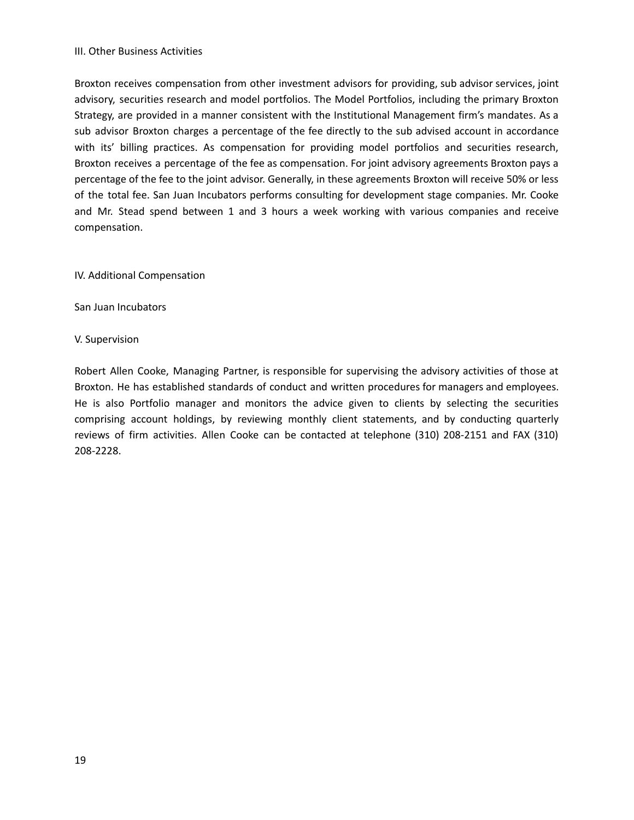### III. Other Business Activities

Broxton receives compensation from other investment advisors for providing, sub advisor services, joint advisory, securities research and model portfolios. The Model Portfolios, including the primary Broxton Strategy, are provided in a manner consistent with the Institutional Management firm's mandates. As a sub advisor Broxton charges a percentage of the fee directly to the sub advised account in accordance with its' billing practices. As compensation for providing model portfolios and securities research, Broxton receives a percentage of the fee as compensation. For joint advisory agreements Broxton pays a percentage of the fee to the joint advisor. Generally, in these agreements Broxton will receive 50% or less of the total fee. San Juan Incubators performs consulting for development stage companies. Mr. Cooke and Mr. Stead spend between 1 and 3 hours a week working with various companies and receive compensation.

### IV. Additional Compensation

San Juan Incubators

### V. Supervision

Robert Allen Cooke, Managing Partner, is responsible for supervising the advisory activities of those at Broxton. He has established standards of conduct and written procedures for managers and employees. He is also Portfolio manager and monitors the advice given to clients by selecting the securities comprising account holdings, by reviewing monthly client statements, and by conducting quarterly reviews of firm activities. Allen Cooke can be contacted at telephone (310) 208-2151 and FAX (310) 208-2228.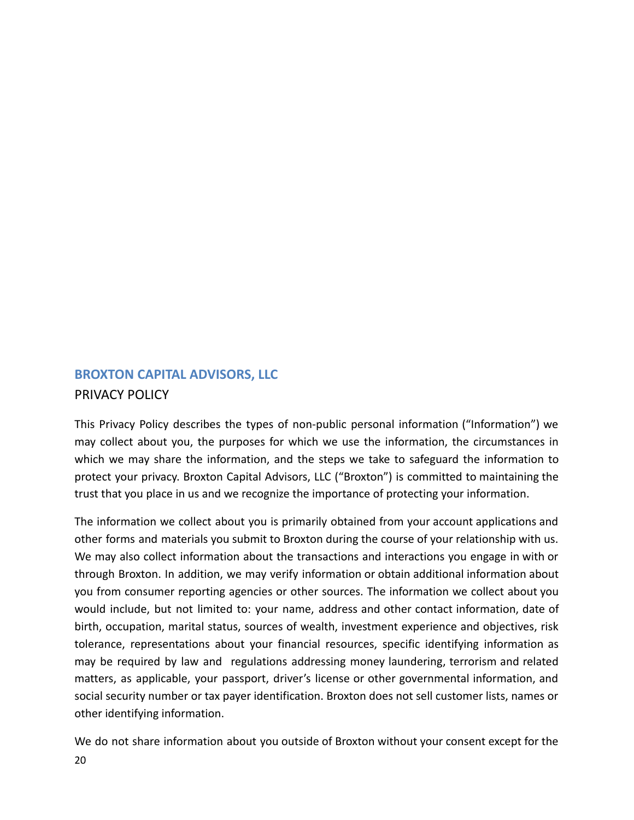# <span id="page-19-0"></span>**BROXTON CAPITAL ADVISORS, LLC** PRIVACY POLICY

This Privacy Policy describes the types of non-public personal information ("Information") we may collect about you, the purposes for which we use the information, the circumstances in which we may share the information, and the steps we take to safeguard the information to protect your privacy. Broxton Capital Advisors, LLC ("Broxton") is committed to maintaining the trust that you place in us and we recognize the importance of protecting your information.

The information we collect about you is primarily obtained from your account applications and other forms and materials you submit to Broxton during the course of your relationship with us. We may also collect information about the transactions and interactions you engage in with or through Broxton. In addition, we may verify information or obtain additional information about you from consumer reporting agencies or other sources. The information we collect about you would include, but not limited to: your name, address and other contact information, date of birth, occupation, marital status, sources of wealth, investment experience and objectives, risk tolerance, representations about your financial resources, specific identifying information as may be required by law and regulations addressing money laundering, terrorism and related matters, as applicable, your passport, driver's license or other governmental information, and social security number or tax payer identification. Broxton does not sell customer lists, names or other identifying information.

We do not share information about you outside of Broxton without your consent except for the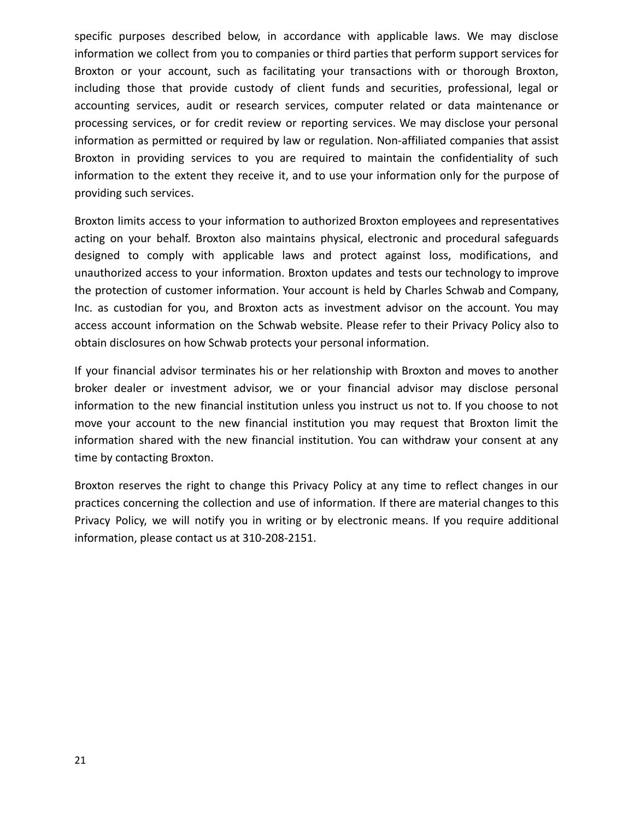specific purposes described below, in accordance with applicable laws. We may disclose information we collect from you to companies or third parties that perform support services for Broxton or your account, such as facilitating your transactions with or thorough Broxton, including those that provide custody of client funds and securities, professional, legal or accounting services, audit or research services, computer related or data maintenance or processing services, or for credit review or reporting services. We may disclose your personal information as permitted or required by law or regulation. Non-affiliated companies that assist Broxton in providing services to you are required to maintain the confidentiality of such information to the extent they receive it, and to use your information only for the purpose of providing such services.

Broxton limits access to your information to authorized Broxton employees and representatives acting on your behalf. Broxton also maintains physical, electronic and procedural safeguards designed to comply with applicable laws and protect against loss, modifications, and unauthorized access to your information. Broxton updates and tests our technology to improve the protection of customer information. Your account is held by Charles Schwab and Company, Inc. as custodian for you, and Broxton acts as investment advisor on the account. You may access account information on the Schwab website. Please refer to their Privacy Policy also to obtain disclosures on how Schwab protects your personal information.

If your financial advisor terminates his or her relationship with Broxton and moves to another broker dealer or investment advisor, we or your financial advisor may disclose personal information to the new financial institution unless you instruct us not to. If you choose to not move your account to the new financial institution you may request that Broxton limit the information shared with the new financial institution. You can withdraw your consent at any time by contacting Broxton.

Broxton reserves the right to change this Privacy Policy at any time to reflect changes in our practices concerning the collection and use of information. If there are material changes to this Privacy Policy, we will notify you in writing or by electronic means. If you require additional information, please contact us at 310-208-2151.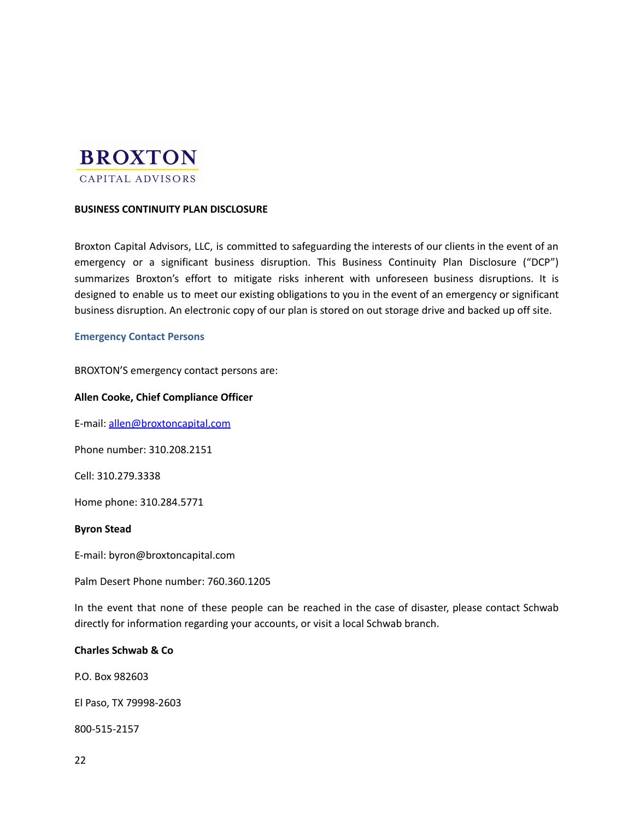# **BROXTON** CAPITAL ADVISORS

## **BUSINESS CONTINUITY PLAN DISCLOSURE**

Broxton Capital Advisors, LLC, is committed to safeguarding the interests of our clients in the event of an emergency or a significant business disruption. This Business Continuity Plan Disclosure ("DCP") summarizes Broxton's effort to mitigate risks inherent with unforeseen business disruptions. It is designed to enable us to meet our existing obligations to you in the event of an emergency or significant business disruption. An electronic copy of our plan is stored on out storage drive and backed up off site.

#### <span id="page-21-0"></span>**Emergency Contact Persons**

BROXTON'S emergency contact persons are:

#### **Allen Cooke, Chief Compliance Officer**

E-mail: [allen@broxtoncapital.com](mailto:jannv@michaletzcompanies.com)

Phone number: 310.208.2151

Cell: 310.279.3338

Home phone: 310.284.5771

#### **Byron Stead**

E-mail: byron@broxtoncapital.com

Palm Desert Phone number: 760.360.1205

In the event that none of these people can be reached in the case of disaster, please contact Schwab directly for information regarding your accounts, or visit a local Schwab branch.

#### **Charles Schwab & Co**

P.O. Box 982603

El Paso, TX 79998-2603

800-515-2157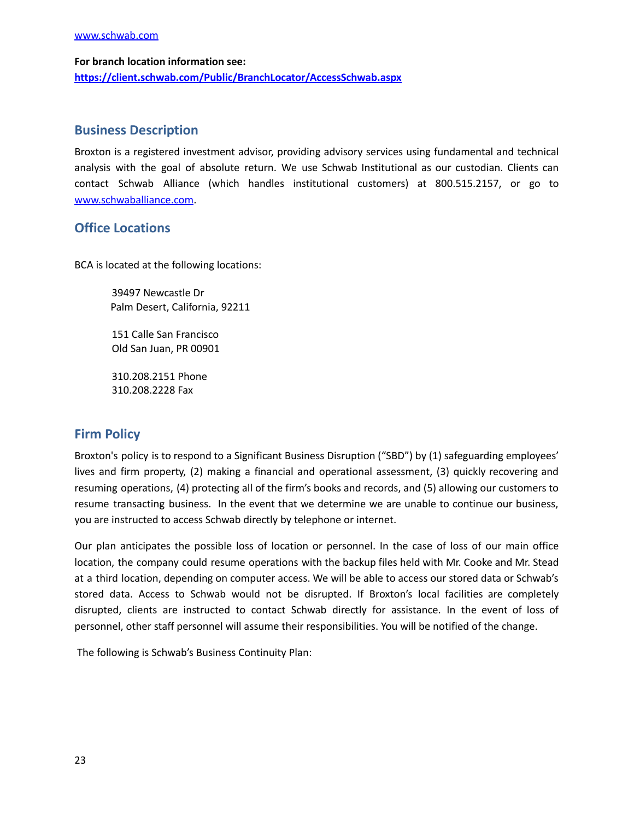[www.schwab.com](http://www.schwab.com)

**For branch location information see: <https://client.schwab.com/Public/BranchLocator/AccessSchwab.aspx>**

## <span id="page-22-0"></span>**Business Description**

Broxton is a registered investment advisor, providing advisory services using fundamental and technical analysis with the goal of absolute return. We use Schwab Institutional as our custodian. Clients can contact Schwab Alliance (which handles institutional customers) at 800.515.2157, or go to [www.schwaballiance.com](http://www.schwaballiance.com).

## <span id="page-22-1"></span>**Office Locations**

BCA is located at the following locations:

39497 Newcastle Dr Palm Desert, California, 92211

151 Calle San Francisco Old San Juan, PR 00901

310.208.2151 Phone 310.208.2228 Fax

## <span id="page-22-2"></span>**Firm Policy**

Broxton's policy is to respond to a Significant Business Disruption ("SBD") by (1) safeguarding employees' lives and firm property, (2) making a financial and operational assessment, (3) quickly recovering and resuming operations, (4) protecting all of the firm's books and records, and (5) allowing our customers to resume transacting business. In the event that we determine we are unable to continue our business, you are instructed to access Schwab directly by telephone or internet.

Our plan anticipates the possible loss of location or personnel. In the case of loss of our main office location, the company could resume operations with the backup files held with Mr. Cooke and Mr. Stead at a third location, depending on computer access. We will be able to access our stored data or Schwab's stored data. Access to Schwab would not be disrupted. If Broxton's local facilities are completely disrupted, clients are instructed to contact Schwab directly for assistance. In the event of loss of personnel, other staff personnel will assume their responsibilities. You will be notified of the change.

The following is Schwab's Business Continuity Plan: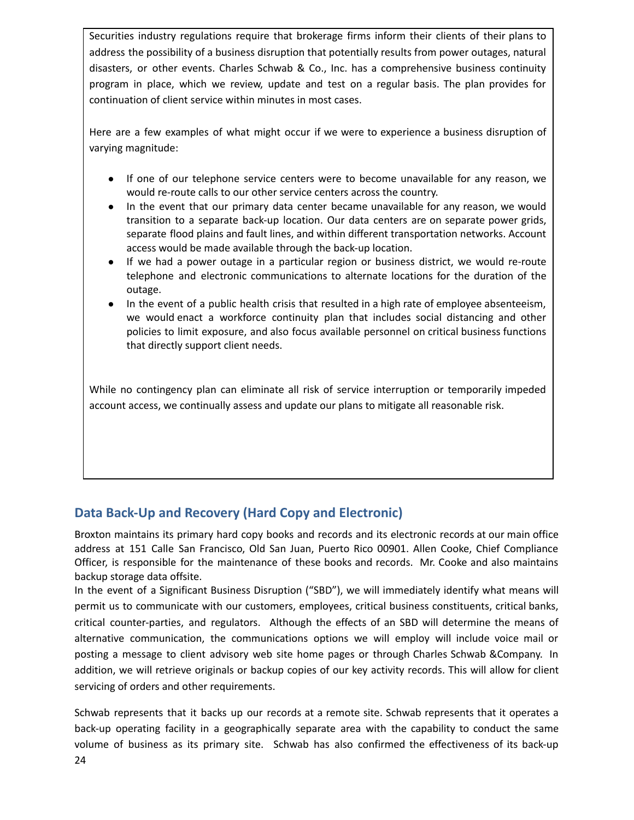Securities industry regulations require that brokerage firms inform their clients of their plans to address the possibility of a business disruption that potentially results from power outages, natural disasters, or other events. Charles Schwab & Co., Inc. has a comprehensive business continuity program in place, which we review, update and test on a regular basis. The plan provides for continuation of client service within minutes in most cases.

Here are a few examples of what might occur if we were to experience a business disruption of varying magnitude:

- If one of our telephone service centers were to become unavailable for any reason, we would re-route calls to our other service centers across the country.
- In the event that our primary data center became unavailable for any reason, we would transition to a separate back-up location. Our data centers are on separate power grids, separate flood plains and fault lines, and within different transportation networks. Account access would be made available through the back-up location.
- If we had a power outage in a particular region or business district, we would re-route telephone and electronic communications to alternate locations for the duration of the outage.
- In the event of a public health crisis that resulted in a high rate of employee absenteeism, we would enact a workforce continuity plan that includes social distancing and other policies to limit exposure, and also focus available personnel on critical business functions that directly support client needs.

While no contingency plan can eliminate all risk of service interruption or temporarily impeded account access, we continually assess and update our plans to mitigate all reasonable risk.

## <span id="page-23-0"></span>**Data Back-Up and Recovery (Hard Copy and Electronic)**

Broxton maintains its primary hard copy books and records and its electronic records at our main office address at 151 Calle San Francisco, Old San Juan, Puerto Rico 00901. Allen Cooke, Chief Compliance Officer, is responsible for the maintenance of these books and records. Mr. Cooke and also maintains backup storage data offsite.

In the event of a Significant Business Disruption ("SBD"), we will immediately identify what means will permit us to communicate with our customers, employees, critical business constituents, critical banks, critical counter-parties, and regulators. Although the effects of an SBD will determine the means of alternative communication, the communications options we will employ will include voice mail or posting a message to client advisory web site home pages or through Charles Schwab &Company. In addition, we will retrieve originals or backup copies of our key activity records. This will allow for client servicing of orders and other requirements.

Schwab represents that it backs up our records at a remote site. Schwab represents that it operates a back-up operating facility in a geographically separate area with the capability to conduct the same volume of business as its primary site. Schwab has also confirmed the effectiveness of its back-up